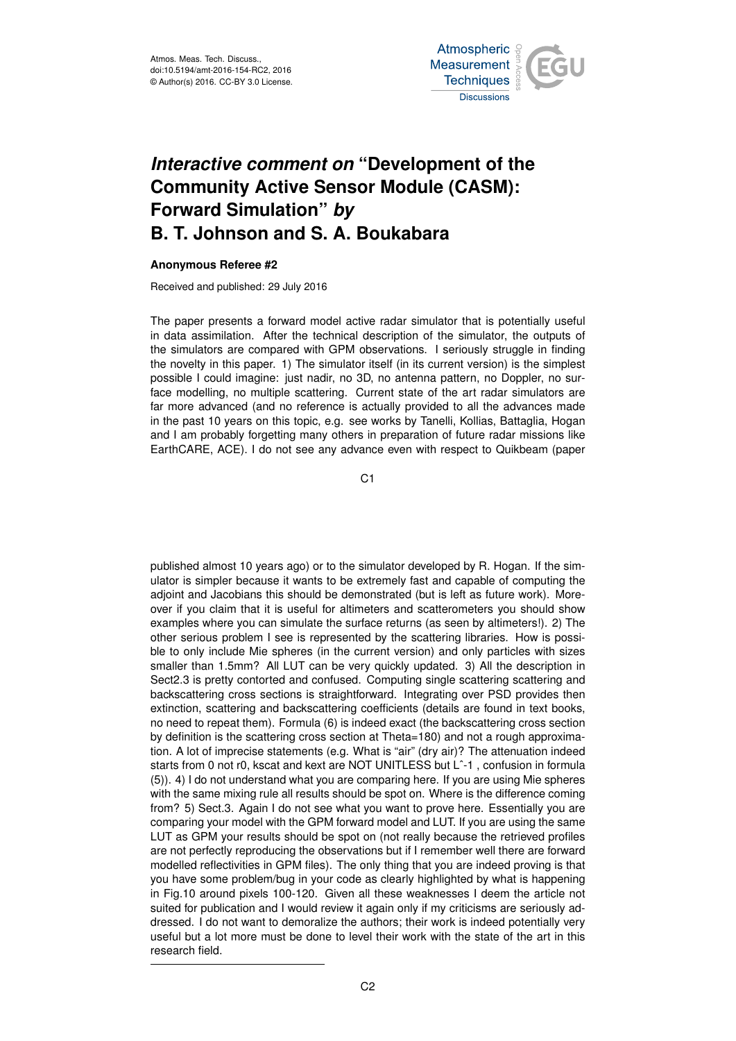

## *Interactive comment on* **"Development of the Community Active Sensor Module (CASM): Forward Simulation"** *by* **B. T. Johnson and S. A. Boukabara**

## **Anonymous Referee #2**

Received and published: 29 July 2016

The paper presents a forward model active radar simulator that is potentially useful in data assimilation. After the technical description of the simulator, the outputs of the simulators are compared with GPM observations. I seriously struggle in finding the novelty in this paper. 1) The simulator itself (in its current version) is the simplest possible I could imagine: just nadir, no 3D, no antenna pattern, no Doppler, no surface modelling, no multiple scattering. Current state of the art radar simulators are far more advanced (and no reference is actually provided to all the advances made in the past 10 years on this topic, e.g. see works by Tanelli, Kollias, Battaglia, Hogan and I am probably forgetting many others in preparation of future radar missions like EarthCARE, ACE). I do not see any advance even with respect to Quikbeam (paper

C1

published almost 10 years ago) or to the simulator developed by R. Hogan. If the simulator is simpler because it wants to be extremely fast and capable of computing the adjoint and Jacobians this should be demonstrated (but is left as future work). Moreover if you claim that it is useful for altimeters and scatterometers you should show examples where you can simulate the surface returns (as seen by altimeters!). 2) The other serious problem I see is represented by the scattering libraries. How is possible to only include Mie spheres (in the current version) and only particles with sizes smaller than 1.5mm? All LUT can be very quickly updated. 3) All the description in Sect2.3 is pretty contorted and confused. Computing single scattering scattering and backscattering cross sections is straightforward. Integrating over PSD provides then extinction, scattering and backscattering coefficients (details are found in text books, no need to repeat them). Formula (6) is indeed exact (the backscattering cross section by definition is the scattering cross section at Theta=180) and not a rough approximation. A lot of imprecise statements (e.g. What is "air" (dry air)? The attenuation indeed starts from 0 not r0, kscat and kext are NOT UNITLESS but Lˆ-1 , confusion in formula (5)). 4) I do not understand what you are comparing here. If you are using Mie spheres with the same mixing rule all results should be spot on. Where is the difference coming from? 5) Sect.3. Again I do not see what you want to prove here. Essentially you are comparing your model with the GPM forward model and LUT. If you are using the same LUT as GPM your results should be spot on (not really because the retrieved profiles are not perfectly reproducing the observations but if I remember well there are forward modelled reflectivities in GPM files). The only thing that you are indeed proving is that you have some problem/bug in your code as clearly highlighted by what is happening in Fig.10 around pixels 100-120. Given all these weaknesses I deem the article not suited for publication and I would review it again only if my criticisms are seriously addressed. I do not want to demoralize the authors; their work is indeed potentially very useful but a lot more must be done to level their work with the state of the art in this research field.